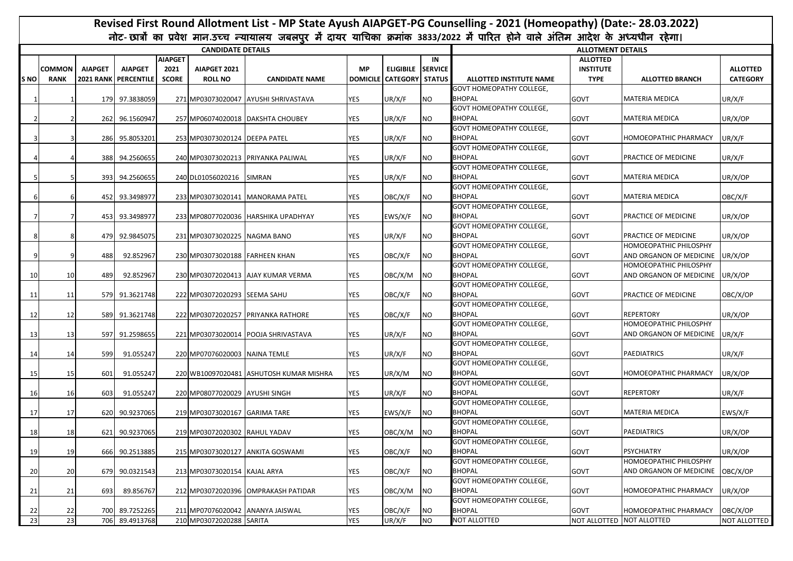|                 | Revised First Round Allotment List - MP State Ayush AIAPGET-PG Counselling - 2021 (Homeopathy) (Date:- 28.03.2022)<br>नोट-छात्रों का प्रवेश मान.उच्च न्यायालय जबलपुर में दायर याचिका क्रमांक 3833/2022 में पारित होने वाले अंतिम आदेश के अध्यधीन रहेगा। |                |                                        |                                        |                                |                                         |            |                                               |           |                                                  |                                                    |                                                   |                                    |
|-----------------|---------------------------------------------------------------------------------------------------------------------------------------------------------------------------------------------------------------------------------------------------------|----------------|----------------------------------------|----------------------------------------|--------------------------------|-----------------------------------------|------------|-----------------------------------------------|-----------|--------------------------------------------------|----------------------------------------------------|---------------------------------------------------|------------------------------------|
|                 |                                                                                                                                                                                                                                                         |                |                                        |                                        |                                |                                         |            |                                               |           |                                                  |                                                    |                                                   |                                    |
|                 |                                                                                                                                                                                                                                                         |                |                                        |                                        | <b>CANDIDATE DETAILS</b>       |                                         |            |                                               |           |                                                  | <b>ALLOTMENT DETAILS</b>                           |                                                   |                                    |
| <b>SNO</b>      | <b>COMMON</b><br><b>RANK</b>                                                                                                                                                                                                                            | <b>AIAPGET</b> | <b>AIAPGET</b><br>2021 RANK PERCENTILE | <b>AIAPGET</b><br>2021<br><b>SCORE</b> | AIAPGET 2021<br><b>ROLL NO</b> | <b>CANDIDATE NAME</b>                   | <b>MP</b>  | ELIGIBILE SERVICE<br>DOMICILE CATEGORY STATUS | IN        | ALLOTTED INSTITUTE NAME                          | <b>ALLOTTED</b><br><b>INSTITUTE</b><br><b>TYPE</b> | <b>ALLOTTED BRANCH</b>                            | <b>ALLOTTED</b><br><b>CATEGORY</b> |
|                 |                                                                                                                                                                                                                                                         |                | 179 97.3838059                         |                                        |                                | 271 MP03073020047 AYUSHI SHRIVASTAVA    | <b>YES</b> | UR/X/F                                        | <b>NO</b> | <b>GOVT HOMEOPATHY COLLEGE,</b><br><b>BHOPAL</b> | GOVT                                               | <b>MATERIA MEDICA</b>                             | UR/X/F                             |
|                 |                                                                                                                                                                                                                                                         |                | 262 96.1560947                         |                                        |                                | 257 MP06074020018 DAKSHTA CHOUBEY       | YES        | UR/X/F                                        | <b>NO</b> | <b>GOVT HOMEOPATHY COLLEGE,</b><br>BHOPAL        | <b>GOVT</b>                                        | MATERIA MEDICA                                    | UR/X/OP                            |
|                 |                                                                                                                                                                                                                                                         |                | 286 95.8053201                         |                                        | 253 MP03073020124 DEEPA PATEL  |                                         | <b>YES</b> | UR/X/F                                        | NO.       | <b>GOVT HOMEOPATHY COLLEGE,</b><br>BHOPAL        | GOVT                                               | HOMOEOPATHIC PHARMACY                             | UR/X/F                             |
|                 |                                                                                                                                                                                                                                                         |                | 388 94.2560655                         |                                        |                                | 240 MP03073020213 PRIYANKA PALIWAL      | YES        | UR/X/F                                        | <b>NO</b> | <b>GOVT HOMEOPATHY COLLEGE,</b><br>BHOPAL        | <b>GOVT</b>                                        | PRACTICE OF MEDICINE                              | UR/X/F                             |
|                 |                                                                                                                                                                                                                                                         |                | 393 94.2560655                         |                                        | 240 DL01056020216              | SIMRAN                                  | YES        | UR/X/F                                        | NO.       | <b>GOVT HOMEOPATHY COLLEGE,</b><br><b>BHOPAL</b> | <b>GOVT</b>                                        | MATERIA MEDICA                                    | UR/X/OP                            |
|                 |                                                                                                                                                                                                                                                         |                | 452 93.3498977                         |                                        |                                | 233 MP03073020141 MANORAMA PATEL        | YES        | OBC/X/F                                       | <b>NO</b> | GOVT HOMEOPATHY COLLEGE,<br>BHOPAL               | <b>GOVT</b>                                        | <b>MATERIA MEDICA</b>                             | OBC/X/F                            |
|                 |                                                                                                                                                                                                                                                         |                | 453 93.3498977                         |                                        |                                | 233 MP08077020036 HARSHIKA UPADHYAY     | YES        | EWS/X/F                                       | <b>NO</b> | <b>GOVT HOMEOPATHY COLLEGE,</b><br><b>BHOPAL</b> | GOVT                                               | PRACTICE OF MEDICINE                              | UR/X/OP                            |
|                 |                                                                                                                                                                                                                                                         |                | 479 92.9845075                         |                                        | 231 MP03073020225 NAGMA BANO   |                                         | YES        | UR/X/F                                        | <b>NO</b> | <b>GOVT HOMEOPATHY COLLEGE,</b><br><b>BHOPAL</b> | GOVT                                               | PRACTICE OF MEDICINE                              | UR/X/OP                            |
|                 |                                                                                                                                                                                                                                                         | 488            | 92.852967                              |                                        | 230 MP03073020188 FARHEEN KHAN |                                         | YES        | OBC/X/F                                       | <b>NO</b> | <b>GOVT HOMEOPATHY COLLEGE.</b><br><b>BHOPAL</b> | GOVT                                               | HOMOEOPATHIC PHILOSPHY<br>AND ORGANON OF MEDICINE | UR/X/OP                            |
| 10              | 10                                                                                                                                                                                                                                                      | 489            | 92.852967                              |                                        |                                | 230 MP03072020413 AJAY KUMAR VERMA      | <b>YES</b> | OBC/X/M                                       | <b>NO</b> | GOVT HOMEOPATHY COLLEGE,<br>BHOPAL               | <b>GOVT</b>                                        | HOMOEOPATHIC PHILOSPHY<br>AND ORGANON OF MEDICINE | UR/X/OP                            |
| -11             | 11                                                                                                                                                                                                                                                      |                | 579 91.3621748                         |                                        | 222 MP03072020293 SEEMA SAHU   |                                         | YES        | OBC/X/F                                       | <b>NO</b> | <b>GOVT HOMEOPATHY COLLEGE,</b><br>BHOPAL        | <b>GOVT</b>                                        | PRACTICE OF MEDICINE                              | OBC/X/OP                           |
| 12              | 12                                                                                                                                                                                                                                                      |                | 589 91.3621748                         |                                        |                                | 222 MP03072020257 PRIYANKA RATHORE      | YES        | OBC/X/F                                       | <b>NO</b> | <b>GOVT HOMEOPATHY COLLEGE,</b><br><b>BHOPAL</b> | <b>GOVT</b>                                        | <b>REPERTORY</b>                                  | UR/X/OP                            |
| 13              | 13                                                                                                                                                                                                                                                      |                | 597 91.2598655                         |                                        |                                | 221 MP03073020014 POOJA SHRIVASTAVA     | <b>YES</b> | UR/X/F                                        | <b>NO</b> | GOVT HOMEOPATHY COLLEGE,<br><b>BHOPAL</b>        | GOVT                                               | HOMOEOPATHIC PHILOSPHY<br>AND ORGANON OF MEDICINE | UR/X/F                             |
| 14              | 14                                                                                                                                                                                                                                                      | 599            | 91.055247                              |                                        | 220 MP07076020003 NAINA TEMLE  |                                         | <b>YES</b> | UR/X/F                                        | <b>NO</b> | GOVT HOMEOPATHY COLLEGE,<br><b>BHOPAL</b>        | <b>GOVT</b>                                        | <b>PAEDIATRICS</b>                                | UR/X/F                             |
| 15              | 15                                                                                                                                                                                                                                                      | 601            | 91.055247                              |                                        |                                | 220 WB10097020481 ASHUTOSH KUMAR MISHRA | YES        | UR/X/M                                        | <b>NO</b> | GOVT HOMEOPATHY COLLEGE,<br><b>BHOPAL</b>        | GOVT                                               | HOMOEOPATHIC PHARMACY                             | UR/X/OP                            |
| 16              | 16                                                                                                                                                                                                                                                      | 603            | 91.055247                              |                                        | 220 MP08077020029 AYUSHI SINGH |                                         | <b>YES</b> | UR/X/F                                        | <b>NO</b> | <b>GOVT HOMEOPATHY COLLEGE,</b><br><b>BHOPAL</b> | <b>GOVT</b>                                        | <b>REPERTORY</b>                                  | UR/X/F                             |
| 17              | 17                                                                                                                                                                                                                                                      |                | 620 90.9237065                         |                                        | 219 MP03073020167 GARIMA TARE  |                                         | <b>YES</b> | EWS/X/F                                       | <b>NO</b> | GOVT HOMEOPATHY COLLEGE,<br><b>BHOPAL</b>        | GOVT                                               | MATERIA MEDICA                                    | EWS/X/F                            |
| 18              | 18                                                                                                                                                                                                                                                      |                | 621 90.9237065                         |                                        | 219 MP03072020302 RAHUL YADAV  |                                         | <b>YES</b> | OBC/X/M                                       | <b>NO</b> | <b>GOVT HOMEOPATHY COLLEGE,</b><br><b>BHOPAL</b> | <b>GOVT</b>                                        | <b>PAEDIATRICS</b>                                | UR/X/OP                            |
| 19              | 19                                                                                                                                                                                                                                                      |                | 666 90.2513885                         |                                        |                                | 215 MP03073020127 ANKITA GOSWAMI        | <b>YES</b> | OBC/X/F                                       | <b>NO</b> | <b>GOVT HOMEOPATHY COLLEGE,</b><br><b>BHOPAL</b> | <b>GOVT</b>                                        | PSYCHIATRY                                        | UR/X/OP                            |
| 20              | 20                                                                                                                                                                                                                                                      |                | 679 90.0321543                         |                                        | 213 MP03073020154 KAJAL ARYA   |                                         | YES        | OBC/X/F                                       | NO.       | GOVT HOMEOPATHY COLLEGE,<br><b>BHOPAL</b>        | GOVT                                               | HOMOEOPATHIC PHILOSPHY<br>AND ORGANON OF MEDICINE | OBC/X/OP                           |
| 21              | 21                                                                                                                                                                                                                                                      | 693            | 89.856767                              |                                        |                                | 212 MP03072020396 OMPRAKASH PATIDAR     | YES        | OBC/X/M                                       | <b>NO</b> | GOVT HOMEOPATHY COLLEGE,<br><b>BHOPAL</b>        | GOVT                                               | HOMOEOPATHIC PHARMACY                             | UR/X/OP                            |
| 22              | 22                                                                                                                                                                                                                                                      |                | 700 89.7252265                         |                                        |                                | 211 MP07076020042 ANANYA JAISWAL        | <b>YES</b> | OBC/X/F                                       | <b>NO</b> | <b>GOVT HOMEOPATHY COLLEGE,</b><br><b>BHOPAL</b> | <b>GOVT</b>                                        | HOMOEOPATHIC PHARMACY                             | OBC/X/OP                           |
| $\overline{23}$ | 23                                                                                                                                                                                                                                                      |                | 706 89.4913768                         |                                        | 210 MP03072020288 SARITA       |                                         | YES        | UR/X/F                                        | <b>NO</b> | NOT ALLOTTED                                     | NOT ALLOTTED                                       | NOT ALLOTTED                                      | NOT ALLOTTED                       |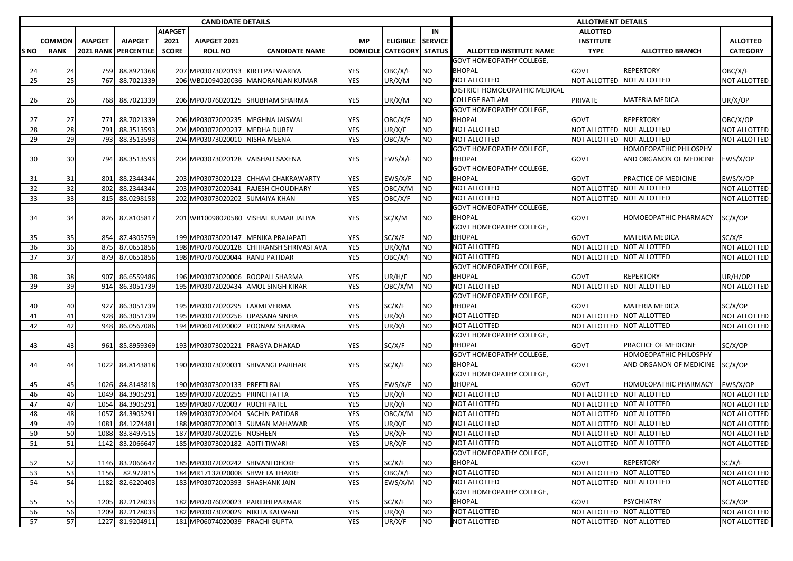| <b>CANDIDATE DETAILS</b> |               |                |                      |                |                                 |                                         |            |                          |                | <b>ALLOTMENT DETAILS</b>        |                           |                              |                     |
|--------------------------|---------------|----------------|----------------------|----------------|---------------------------------|-----------------------------------------|------------|--------------------------|----------------|---------------------------------|---------------------------|------------------------------|---------------------|
|                          |               |                |                      | <b>AIAPGET</b> |                                 |                                         |            |                          | IN             |                                 | <b>ALLOTTED</b>           |                              |                     |
|                          | <b>COMMON</b> | <b>AIAPGET</b> | <b>AIAPGET</b>       | 2021           | AIAPGET 2021                    |                                         | <b>MP</b>  | <b>ELIGIBILE</b>         | <b>SERVICE</b> |                                 | <b>INSTITUTE</b>          |                              | <b>ALLOTTED</b>     |
| <b>SNO</b>               | <b>RANK</b>   |                | 2021 RANK PERCENTILE | <b>SCORE</b>   | <b>ROLL NO</b>                  | <b>CANDIDATE NAME</b>                   |            | DOMICILE CATEGORY STATUS |                | ALLOTTED INSTITUTE NAME         | <b>TYPE</b>               | <b>ALLOTTED BRANCH</b>       | <b>CATEGORY</b>     |
|                          |               |                |                      |                |                                 |                                         |            |                          |                | <b>GOVT HOMEOPATHY COLLEGE,</b> |                           |                              |                     |
| 24                       | 24            | 759            | 88.8921368           |                |                                 | 207 MP03073020193 KIRTI PATWARIYA       | YES        | OBC/X/F                  | <b>NO</b>      | <b>BHOPAL</b>                   | <b>GOVT</b>               | <b>REPERTORY</b>             | OBC/X/F             |
| 25                       | 25            | 767            | 88.7021339           |                |                                 | 206 WB01094020036 MANORANJAN KUMAR      | <b>YES</b> | UR/X/M                   | <b>NO</b>      | <b>NOT ALLOTTED</b>             | NOT ALLOTTED NOT ALLOTTED |                              | <b>NOT ALLOTTED</b> |
|                          |               |                |                      |                |                                 |                                         |            |                          |                | DISTRICT HOMOEOPATHIC MEDICAL   |                           |                              |                     |
| 26                       | 26            | 768            | 88.7021339           |                |                                 | 206 MP07076020125 SHUBHAM SHARMA        | YES        | UR/X/M                   | NO             | <b>COLLEGE RATLAM</b>           | PRIVATE                   | <b>MATERIA MEDICA</b>        | UR/X/OP             |
|                          |               |                |                      |                |                                 |                                         |            |                          |                | <b>GOVT HOMEOPATHY COLLEGE,</b> |                           |                              |                     |
| 27                       | 27            |                | 771 88.7021339       |                |                                 | 206 MP03072020235 MEGHNA JAISWAL        | YES        | OBC/X/F                  | ΝO             | <b>BHOPAL</b>                   | <b>GOVT</b>               | <b>REPERTORY</b>             | OBC/X/OP            |
| 28                       | 28            | 791            | 88.3513593           |                | 204 MP03072020237 MEDHA DUBEY   |                                         | <b>YES</b> | UR/X/F                   | NO             | <b>NOT ALLOTTED</b>             | NOT ALLOTTED NOT ALLOTTED |                              | NOT ALLOTTED        |
| 29                       | 29            | 793            | 88.3513593           |                | 204 MP03073020010 NISHA MEENA   |                                         | <b>YES</b> | OBC/X/F                  | NO             | <b>NOT ALLOTTED</b>             | NOT ALLOTTED NOT ALLOTTED |                              | NOT ALLOTTED        |
|                          |               |                |                      |                |                                 |                                         |            |                          |                | <b>GOVT HOMEOPATHY COLLEGE,</b> |                           | HOMOEOPATHIC PHILOSPHY       |                     |
| 30                       | 30            | 794            | 88.3513593           |                |                                 | 204 MP03073020128 VAISHALI SAXENA       | <b>YES</b> | EWS/X/F                  | NO.            | <b>BHOPAL</b>                   | GOVT                      | AND ORGANON OF MEDICINE      | EWS/X/OP            |
|                          |               |                |                      |                |                                 |                                         |            |                          |                | <b>GOVT HOMEOPATHY COLLEGE,</b> |                           |                              |                     |
| 31                       | 31            | 801            | 88.2344344           |                |                                 | 203 MP03073020123 CHHAVI CHAKRAWARTY    | <b>YES</b> | EWS/X/F                  | <b>NO</b>      | <b>BHOPAL</b>                   | GOVT                      | PRACTICE OF MEDICINE         | EWS/X/OP            |
| 32                       | 32            | 802            | 88.2344344           |                |                                 | 203 MP03072020341 RAJESH CHOUDHARY      | <b>YES</b> | OBC/X/M                  | <b>NO</b>      | <b>NOT ALLOTTED</b>             | NOT ALLOTTED NOT ALLOTTED |                              | NOT ALLOTTED        |
| 33                       | 33            | 815            | 88.0298158           |                | 202 MP03073020202 SUMAIYA KHAN  |                                         | <b>YES</b> | OBC/X/F                  | <b>NO</b>      | <b>NOT ALLOTTED</b>             | NOT ALLOTTED NOT ALLOTTED |                              | NOT ALLOTTED        |
|                          |               |                |                      |                |                                 |                                         |            |                          |                | <b>GOVT HOMEOPATHY COLLEGE,</b> |                           |                              |                     |
| 34                       | 34            |                | 826 87.8105817       |                |                                 | 201 WB10098020580 VISHAL KUMAR JALIYA   | YES        | SC/X/M                   | ΝO             | <b>BHOPAL</b>                   | GOVT                      | <b>HOMOEOPATHIC PHARMACY</b> | SC/X/OP             |
|                          |               |                |                      |                |                                 |                                         |            |                          |                | <b>GOVT HOMEOPATHY COLLEGE,</b> |                           |                              |                     |
| 35                       | 35            |                | 854 87.4305759       |                |                                 | 199 MP03073020147 MENIKA PRAJAPATI      | YES        | SC/X/F                   | NO             | <b>BHOPAL</b>                   | <b>GOVT</b>               | <b>MATERIA MEDICA</b>        | SC/X/F              |
| 36                       | 36            | 875            | 87.0651856           |                |                                 | 198 MP07076020128 CHITRANSH SHRIVASTAVA | <b>YES</b> | UR/X/M                   | <b>NO</b>      | <b>NOT ALLOTTED</b>             | NOT ALLOTTED NOT ALLOTTED |                              | NOT ALLOTTED        |
| 37                       | 37            | 879            | 87.0651856           |                | 198 MP07076020044 RANU PATIDAR  |                                         | <b>YES</b> | OBC/X/F                  | ΝO             | <b>NOT ALLOTTED</b>             | NOT ALLOTTED NOT ALLOTTED |                              | NOT ALLOTTED        |
|                          |               |                |                      |                |                                 |                                         |            |                          |                | <b>GOVT HOMEOPATHY COLLEGE,</b> |                           |                              |                     |
| 38                       | 38            | 907            | 86.6559486           |                |                                 | 196 MP03073020006 ROOPALI SHARMA        | YES        | UR/H/F                   | ΝO             | <b>BHOPAL</b>                   | GOVT                      | <b>REPERTORY</b>             | UR/H/OP             |
| 39                       | 39            | 914            | 86.3051739           |                |                                 | 195 MP03072020434 AMOL SINGH KIRAR      | <b>YES</b> | OBC/X/M                  | NO             | <b>NOT ALLOTTED</b>             | NOT ALLOTTED NOT ALLOTTED |                              | NOT ALLOTTED        |
|                          |               |                |                      |                |                                 |                                         |            |                          |                | <b>GOVT HOMEOPATHY COLLEGE,</b> |                           |                              |                     |
| 40                       | 40            | 927            | 86.3051739           |                | 195 MP03072020295 LAXMI VERMA   |                                         | YES        | SC/X/F                   | ΝO             | <b>BHOPAL</b>                   | <b>GOVT</b>               | <b>MATERIA MEDICA</b>        | SC/X/OP             |
| 41                       | 41            | 928            | 86.3051739           |                | 195 MP03072020256 UPASANA SINHA |                                         | <b>YES</b> | UR/X/F                   | NO             | <b>NOT ALLOTTED</b>             | NOT ALLOTTED NOT ALLOTTED |                              | NOT ALLOTTED        |
| 42                       | 42            | 948            | 86.0567086           |                |                                 | 194 MP06074020002 POONAM SHARMA         | <b>YES</b> | UR/X/F                   | ΝO             | <b>NOT ALLOTTED</b>             | NOT ALLOTTED NOT ALLOTTED |                              | NOT ALLOTTED        |
|                          |               |                |                      |                |                                 |                                         |            |                          |                | <b>GOVT HOMEOPATHY COLLEGE,</b> |                           |                              |                     |
| 43                       | 43            | 961            | 85.8959369           |                |                                 | 193 MP03073020221 PRAGYA DHAKAD         | YES        | SC/X/F                   | ΝO             | <b>BHOPAL</b>                   | GOVT                      | PRACTICE OF MEDICINE         | SC/X/OP             |
|                          |               |                |                      |                |                                 |                                         |            |                          |                | <b>GOVT HOMEOPATHY COLLEGE,</b> |                           | HOMOEOPATHIC PHILOSPHY       |                     |
| 44                       | 44            | 1022           | 84.8143818           |                |                                 | 190 MP03073020031 SHIVANGI PARIHAR      | YES        | SC/X/F                   | ΝO             | <b>BHOPAL</b>                   | GOVT                      | AND ORGANON OF MEDICINE      | SC/X/OP             |
|                          |               |                |                      |                |                                 |                                         |            |                          |                | <b>GOVT HOMEOPATHY COLLEGE,</b> |                           |                              |                     |
| 45                       | 45            | 1026           | 84.8143818           |                | 190 MP03073020133 PREETI RAI    |                                         | YES        | EWS/X/F                  | <b>NO</b>      | <b>BHOPAL</b>                   | GOVT                      | <b>HOMOEOPATHIC PHARMACY</b> | EWS/X/OP            |
| 46                       | 46            | 1049           | 84.3905291           |                | 189 MP03072020255 PRINCI FATTA  |                                         | <b>YES</b> | UR/X/F                   | <b>NO</b>      | <b>NOT ALLOTTED</b>             | NOT ALLOTTED NOT ALLOTTED |                              | NOT ALLOTTED        |
| 47                       | 47            | 1054           | 84.3905291           |                | 189 MP08077020037 RUCHI PATEL   |                                         | <b>YES</b> | UR/X/F                   | <b>NO</b>      | <b>NOT ALLOTTED</b>             | NOT ALLOTTED NOT ALLOTTED |                              | NOT ALLOTTED        |
| 48                       | 48            | 1057           | 84.3905291           |                |                                 | 189 MP03072020404 SACHIN PATIDAR        | <b>YES</b> | OBC/X/M                  | <b>NO</b>      | <b>NOT ALLOTTED</b>             | NOT ALLOTTED NOT ALLOTTED |                              | NOT ALLOTTED        |
| 49                       | 49            | 1081           | 84.1274481           |                |                                 | 188 MP08077020013 SUMAN MAHAWAR         | <b>YES</b> | UR/X/F                   | <b>NO</b>      | <b>NOT ALLOTTED</b>             | NOT ALLOTTED NOT ALLOTTED |                              | NOT ALLOTTED        |
| 50                       | 50            | 1088           | 83.8497515           |                | 187 MP03073020216 NOSHEEN       |                                         | <b>YES</b> | UR/X/F                   | <b>NO</b>      | <b>NOT ALLOTTED</b>             | NOT ALLOTTED NOT ALLOTTED |                              | NOT ALLOTTED        |
| 51                       | 51            |                | 1142 83.2066647      |                | 185 MP03073020182 ADITI TIWARI  |                                         | <b>YES</b> | UR/X/F                   | NO.            | NOT ALLOTTED                    | NOT ALLOTTED NOT ALLOTTED |                              | NOT ALLOTTED        |
|                          |               |                |                      |                |                                 |                                         |            |                          |                | <b>GOVT HOMEOPATHY COLLEGE,</b> |                           |                              |                     |
| 52                       | 52            |                | 1146 83.2066647      |                | 185 MP03072020242 SHIVANI DHOKE |                                         | YES        | SC/X/F                   | NO             | <b>BHOPAL</b>                   | GOVT                      | <b>REPERTORY</b>             | SC/X/F              |
| 53                       | 53            | 1156           | 82.972815            |                |                                 | 184 MR17132020008 SHWETA THAKRE         | <b>YES</b> | OBC/X/F                  | <b>NO</b>      | <b>NOT ALLOTTED</b>             | NOT ALLOTTED NOT ALLOTTED |                              | NOT ALLOTTED        |
| 54                       | 54            | 1182           | 82.6220403           |                | 183 MP03072020393 SHASHANK JAIN |                                         | YES        | EWS/X/M                  | <b>NO</b>      | NOT ALLOTTED                    | NOT ALLOTTED NOT ALLOTTED |                              | NOT ALLOTTED        |
|                          |               |                |                      |                |                                 |                                         |            |                          |                | <b>GOVT HOMEOPATHY COLLEGE,</b> |                           |                              |                     |
| 55                       | 55            |                | 1205 82.2128033      |                |                                 | 182 MP07076020023 PARIDHI PARMAR        | <b>YES</b> | SC/X/F                   | <b>NO</b>      | <b>BHOPAL</b>                   | <b>GOVT</b>               | <b>PSYCHIATRY</b>            | SC/X/OP             |
| 56                       | 56            | 1209           | 82.2128033           |                |                                 | 182 MP03073020029 NIKITA KALWANI        | <b>YES</b> | UR/X/F                   | <b>NO</b>      | NOT ALLOTTED                    | NOT ALLOTTED NOT ALLOTTED |                              | NOT ALLOTTED        |
| 57                       | 57            |                | 1227 81.9204911      |                | 181 MP06074020039 PRACHI GUPTA  |                                         | <b>YES</b> | UR/X/F                   | <b>NO</b>      | <b>NOT ALLOTTED</b>             | NOT ALLOTTED NOT ALLOTTED |                              | NOT ALLOTTED        |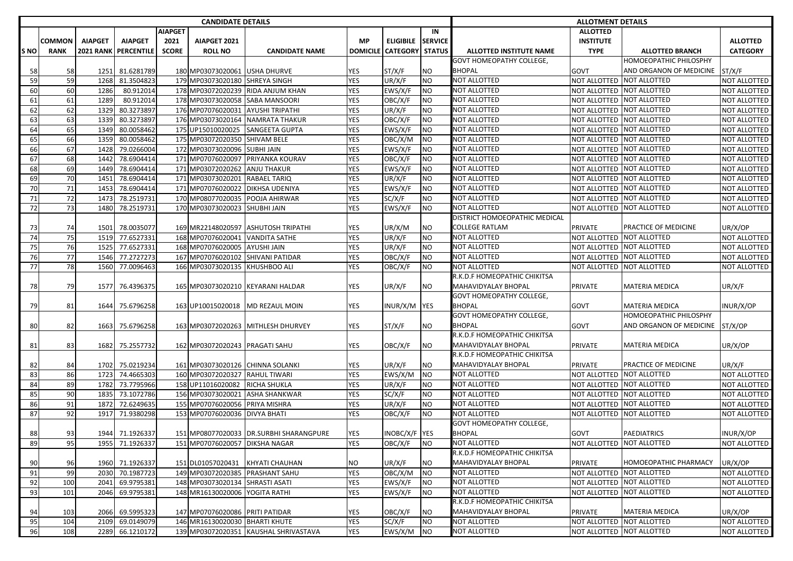| <b>CANDIDATE DETAILS</b> |               |                |                      |                |                                                                   |                                         |            |                                 |                | <b>ALLOTMENT DETAILS</b>        |                                           |                           |                              |
|--------------------------|---------------|----------------|----------------------|----------------|-------------------------------------------------------------------|-----------------------------------------|------------|---------------------------------|----------------|---------------------------------|-------------------------------------------|---------------------------|------------------------------|
|                          |               |                |                      | <b>AIAPGET</b> |                                                                   |                                         |            |                                 | IN             |                                 | <b>ALLOTTED</b>                           |                           |                              |
|                          | <b>COMMON</b> | <b>AIAPGET</b> | <b>AIAPGET</b>       | 2021           | AIAPGET 2021                                                      |                                         | <b>MP</b>  | <b>ELIGIBILE</b>                | <b>SERVICE</b> |                                 | <b>INSTITUTE</b>                          |                           | <b>ALLOTTED</b>              |
| S NO                     | <b>RANK</b>   |                | 2021 RANK PERCENTILE | <b>SCORE</b>   | <b>ROLL NO</b>                                                    | <b>CANDIDATE NAME</b>                   |            | <b>DOMICILE CATEGORY STATUS</b> |                | <b>ALLOTTED INSTITUTE NAME</b>  | <b>TYPE</b>                               | <b>ALLOTTED BRANCH</b>    | <b>CATEGORY</b>              |
|                          |               |                |                      |                |                                                                   |                                         |            |                                 |                | <b>GOVT HOMEOPATHY COLLEGE,</b> |                                           | HOMOEOPATHIC PHILOSPHY    |                              |
| 58                       | 58            | 1251           | 81.6281789           |                | 180 MP03073020061 USHA DHURVE                                     |                                         | YES        | ST/X/F                          | <b>NO</b>      | <b>BHOPAL</b>                   | <b>GOVT</b>                               | AND ORGANON OF MEDICINE   | ST/X/F                       |
| 59                       | 59            | 1268           | 81.3504823           |                | 179 MP03073020180 SHREYA SINGH                                    |                                         | <b>YES</b> | UR/X/F                          | <b>NO</b>      | <b>NOT ALLOTTED</b>             | <b>NOT ALLOTTED</b>                       | <b>NOT ALLOTTED</b>       | NOT ALLOTTED                 |
| 60                       | 60            | 1286           | 80.912014            |                |                                                                   | 178 MP03072020239 RIDA ANJUM KHAN       | YES        | EWS/X/F                         | <b>NO</b>      | NOT ALLOTTED                    | NOT ALLOTTED                              | <b>NOT ALLOTTED</b>       | NOT ALLOTTED                 |
| 61                       | 61            | 1289           | 80.912014            |                | 178 MP03073020058 SABA MANSOORI                                   |                                         | YES        | OBC/X/F                         | N <sub>O</sub> | <b>NOT ALLOTTED</b>             | NOT ALLOTTED NOT ALLOTTED                 |                           | <b>NOT ALLOTTED</b>          |
| 62                       | 62            | 1329           | 80.3273897           |                | 176 MP07076020031                                                 | <b>AYUSHI TRIPATHI</b>                  | YES        | UR/X/F                          | <b>NO</b>      | <b>NOT ALLOTTED</b>             | NOT ALLOTTED                              | NOT ALLOTTED              | NOT ALLOTTED                 |
| 63                       | 63            | 1339           | 80.3273897           |                |                                                                   | 176 MP03073020164 NAMRATA THAKUR        | <b>YES</b> | OBC/X/F                         | <b>NO</b>      | NOT ALLOTTED                    |                                           | NOT ALLOTTED NOT ALLOTTED | NOT ALLOTTED                 |
| 64                       | 65            | 1349           | 80.0058462           |                | 175 UP15010020025                                                 | <b>SANGEETA GUPTA</b>                   | YES        | EWS/X/F                         | <b>NO</b>      | NOT ALLOTTED                    | NOT ALLOTTED NOT ALLOTTED                 |                           | NOT ALLOTTED                 |
| 65                       | 66            | 1359           | 80.0058462           |                | 175 MP03072020350 SHIVAM BELE                                     |                                         | YES        | OBC/X/M                         | <b>NO</b>      | NOT ALLOTTED                    | NOT ALLOTTED NOT ALLOTTED                 |                           | NOT ALLOTTED                 |
| 66                       | 67            | 1428           | 79.0266004           |                | 172 MP03073020096 SUBHI JAIN                                      |                                         | <b>YES</b> | EWS/X/F                         | <b>NO</b>      | <b>NOT ALLOTTED</b>             | NOT ALLOTTED NOT ALLOTTED                 |                           | NOT ALLOTTED                 |
| 67                       | 68            | 1442           | 78.6904414           |                | 171 MP07076020097                                                 | PRIYANKA KOURAV                         | YES        | OBC/X/F                         | <b>NO</b>      | NOT ALLOTTED                    | NOT ALLOTTED NOT ALLOTTED                 |                           | NOT ALLOTTED                 |
| 68                       | 69            | 1449           | 78.6904414           |                | 171 MP03072020262 ANJU THAKUR                                     |                                         | YES        | EWS/X/F                         | N <sub>O</sub> | NOT ALLOTTED                    | NOT ALLOTTED NOT ALLOTTED                 |                           | NOT ALLOTTED                 |
| 69                       | 70            | 1451           | 78.6904414           |                | 171 MP03073020201                                                 | <b>RABAEL TARIQ</b>                     | YES        | UR/X/F                          | <b>NO</b>      | <b>NOT ALLOTTED</b>             | NOT ALLOTTED NOT ALLOTTED                 |                           | NOT ALLOTTED                 |
| 70                       | 71            | 1453           | 78.6904414           |                | 171 MP07076020022                                                 | <b>DIKHSA UDENIYA</b>                   | <b>YES</b> | EWS/X/F                         | N <sub>O</sub> | NOT ALLOTTED                    | NOT ALLOTTED NOT ALLOTTED                 |                           | NOT ALLOTTED                 |
| 71                       | 72            | 1473           | 78.2519731           |                |                                                                   | 170 MP08077020035 POOJA AHIRWAR         | YES        | SC/X/F                          | <b>NO</b>      | NOT ALLOTTED                    | NOT ALLOTTED NOT ALLOTTED                 |                           | <b>NOT ALLOTTED</b>          |
| 72                       | 73            | 1480           | 78.2519731           |                | 170 MP03073020023 SHUBHI JAIN                                     |                                         | YES        | EWS/X/F                         | N <sub>O</sub> | <b>NOT ALLOTTED</b>             | NOT ALLOTTED NOT ALLOTTED                 |                           | <b>NOT ALLOTTED</b>          |
|                          |               |                |                      |                |                                                                   |                                         |            |                                 |                | DISTRICT HOMOEOPATHIC MEDICAL   |                                           |                           |                              |
| 73                       | 74            | 1501           | 78.0035077           |                |                                                                   | 169 MR22148020597 ASHUTOSH TRIPATHI     | YES        | UR/X/M                          | <b>NO</b>      | <b>COLLEGE RATLAM</b>           | PRIVATE                                   | PRACTICE OF MEDICINE      | UR/X/OP                      |
| 74                       | 75            | 1519           | 77.6527331           |                | 168 MP07076020041 VANDITA SATHE                                   |                                         | YES        | UR/X/F                          | <b>NO</b>      | <b>NOT ALLOTTED</b>             | NOT ALLOTTED                              | <b>NOT ALLOTTED</b>       | NOT ALLOTTED                 |
| 75                       | 76            | 1525           | 77.6527331           |                | 168 MP07076020005 AYUSHI JAIN                                     |                                         | YES        | UR/X/F                          | N <sub>O</sub> | <b>NOT ALLOTTED</b>             | NOT ALLOTTED NOT ALLOTTED                 |                           | NOT ALLOTTED                 |
| 76                       | 77            | 1546           | 77.2727273           |                |                                                                   | 167 MP07076020102 SHIVANI PATIDAR       | YES        | OBC/X/F                         | <b>NO</b>      | <b>NOT ALLOTTED</b>             | <b>NOT ALLOTTED</b>                       | <b>NOT ALLOTTED</b>       | NOT ALLOTTED                 |
| 77                       | 78            | 1560           | 77.0096463           |                | 166 MP03073020135 KHUSHBOO ALI                                    |                                         | <b>YES</b> | OBC/X/F                         | <b>NO</b>      | NOT ALLOTTED                    |                                           | NOT ALLOTTED NOT ALLOTTED | NOT ALLOTTED                 |
|                          |               |                |                      |                |                                                                   |                                         |            |                                 |                | R.K.D.F HOMEOPATHIC CHIKITSA    |                                           |                           |                              |
| 78                       | 79            | 1577           | 76.4396375           |                |                                                                   | 165 MP03073020210 KEYARANI HALDAR       | YES        | UR/X/F                          | <b>NO</b>      | MAHAVIDYALAY BHOPAL             | PRIVATE                                   | <b>MATERIA MEDICA</b>     | UR/X/F                       |
|                          |               |                |                      |                |                                                                   |                                         |            |                                 |                | <b>GOVT HOMEOPATHY COLLEGE,</b> |                                           |                           |                              |
| 79                       | 81            | 1644           | 75.6796258           |                |                                                                   | 163 UP10015020018 MD REZAUL MOIN        | YES        | INUR/X/M YES                    |                | <b>BHOPAL</b>                   | GOVT                                      | MATERIA MEDICA            | INUR/X/OP                    |
|                          |               |                |                      |                |                                                                   |                                         |            |                                 |                | <b>GOVT HOMEOPATHY COLLEGE,</b> |                                           | HOMOEOPATHIC PHILOSPHY    |                              |
| 80                       | 82            | 1663           | 75.6796258           |                |                                                                   | 163 MP03072020263 MITHLESH DHURVEY      | YES        | ST/X/F                          | NO.            | <b>BHOPAL</b>                   | GOVT                                      | AND ORGANON OF MEDICINE   | ST/X/OP                      |
|                          |               |                |                      |                |                                                                   |                                         |            |                                 |                | R.K.D.F HOMEOPATHIC CHIKITSA    |                                           |                           |                              |
| 81                       | 83            | 1682           | 75.2557732           |                | 162 MP03072020243 PRAGATI SAHU                                    |                                         | YES        | OBC/X/F                         | <b>NO</b>      | MAHAVIDYALAY BHOPAL             | PRIVATE                                   | MATERIA MEDICA            | UR/X/OP                      |
|                          |               |                |                      |                |                                                                   |                                         |            |                                 |                | R.K.D.F HOMEOPATHIC CHIKITSA    |                                           |                           |                              |
| 82                       | 84            | 1702           | 75.0219234           |                |                                                                   | 161 MP03073020126 CHINNA SOLANKI        | YES        | UR/X/F                          | N <sub>O</sub> | MAHAVIDYALAY BHOPAL             | PRIVATE                                   | PRACTICE OF MEDICINE      | UR/X/F                       |
| 83                       | 86            | 1723           | 74.4665303           |                | 160 MP03072020327 RAHUL TIWARI                                    |                                         | YES        | EWS/X/M                         | <b>NO</b>      | NOT ALLOTTED                    | NOT ALLOTTED                              | <b>NOT ALLOTTED</b>       | <b>NOT ALLOTTED</b>          |
| 84                       | 89            | 1782           | 73.7795966           |                | 158 UP11016020082                                                 | RICHA SHUKLA                            | <b>YES</b> | UR/X/F                          | <b>NO</b>      | <b>NOT ALLOTTED</b>             | NOT ALLOTTED NOT ALLOTTED                 |                           | NOT ALLOTTED                 |
| 85                       | 90            | 1835           | 73.1072786           |                |                                                                   | 156 MP03073020021 ASHA SHANKWAR         | YES        | SC/X/F                          | <b>NO</b>      | NOT ALLOTTED                    | NOT ALLOTTED NOT ALLOTTED                 |                           | <b>NOT ALLOTTED</b>          |
| 86                       | 91            | 1872           | 72.6249635           |                | 155 MP07076020056 PRIYA MISHRA                                    |                                         | YES        | UR/X/F                          | <b>NO</b>      | <b>NOT ALLOTTED</b>             | <b>NOT ALLOTTED</b>                       | NOT ALLOTTED              | NOT ALLOTTED                 |
| 87                       | 92            | 1917           | 71.9380298           |                | 153 MP07076020036 DIVYA BHATI                                     |                                         | <b>YES</b> | OBC/X/F                         | <b>NO</b>      | <b>NOT ALLOTTED</b>             | NOT ALLOTTED                              | NOT ALLOTTED              | NOT ALLOTTED                 |
|                          |               |                |                      |                |                                                                   |                                         |            |                                 |                | <b>GOVT HOMEOPATHY COLLEGE,</b> |                                           |                           |                              |
| 88                       | 93            |                | 1944 71.1926337      |                |                                                                   | 151 MP08077020033 DR.SURBHI SHARANGPURE | <b>YES</b> | INOBC/X/F YES                   |                | <b>BHOPAL</b>                   | <b>GOVT</b>                               | <b>PAEDIATRICS</b>        | INUR/X/OP                    |
| 89                       | 95            |                | 1955 71.1926337      |                | 151 MP07076020057 DIKSHA NAGAR                                    |                                         | <b>YES</b> | OBC/X/F                         | <b>NO</b>      | <b>NOT ALLOTTED</b>             | NOT ALLOTTED NOT ALLOTTED                 |                           | NOT ALLOTTED                 |
|                          |               |                |                      |                |                                                                   |                                         |            |                                 |                | R.K.D.F HOMEOPATHIC CHIKITSA    |                                           |                           |                              |
| 90                       | 96            |                | 1960 71.1926337      |                |                                                                   | 151 DL01057020431 KHYATI CHAUHAN        | ΝO         | UR/X/F                          | NO.            | MAHAVIDYALAY BHOPAL             | PRIVATE                                   | HOMOEOPATHIC PHARMACY     | UR/X/OP                      |
| 91                       | 99            | 2030           | 70.1987723           |                |                                                                   | 149 MP03072020385 PRASHANT SAHU         | YES        | OBC/X/M                         | <b>NO</b>      | <b>NOT ALLOTTED</b>             | NOT ALLOTTED NOT ALLOTTED                 |                           | NOT ALLOTTED                 |
|                          |               | 2041           |                      |                |                                                                   |                                         |            |                                 |                | NOT ALLOTTED                    |                                           | <b>NOT ALLOTTED</b>       |                              |
| 92                       | 100<br>101    |                | 69.9795381           |                | 148 MP03073020134 SHRASTI ASATI<br>148 MR16130020006 YOGITA RATHI |                                         | YES        | EWS/X/F<br>EWS/X/F              | <b>NO</b>      | <b>NOT ALLOTTED</b>             | NOT ALLOTTED<br>NOT ALLOTTED NOT ALLOTTED |                           | NOT ALLOTTED<br>NOT ALLOTTED |
| 93                       |               | 2046           | 69.9795381           |                |                                                                   |                                         | YES        |                                 | <b>NO</b>      | R.K.D.F HOMEOPATHIC CHIKITSA    |                                           |                           |                              |
|                          |               |                |                      |                |                                                                   |                                         |            |                                 |                |                                 |                                           | <b>MATERIA MEDICA</b>     |                              |
| 94                       | 103           | 2066           | 69.5995323           |                | 147 MP07076020086 PRITI PATIDAR                                   |                                         | YES        | OBC/X/F                         | N <sub>O</sub> | MAHAVIDYALAY BHOPAL             | PRIVATE                                   |                           | UR/X/OP                      |
| 95                       | 104           | 2109           | 69.0149079           |                | 146 MR16130020030 BHARTI KHUTE                                    |                                         | YES        | SC/X/F                          | <b>NO</b>      | <b>NOT ALLOTTED</b>             | NOT ALLOTTED NOT ALLOTTED                 |                           | NOT ALLOTTED                 |
| 96                       | 108           |                | 2289 66.1210172      |                |                                                                   | 139 MP03072020351 KAUSHAL SHRIVASTAVA   | <b>YES</b> | EWS/X/M NO                      |                | <b>NOT ALLOTTED</b>             | NOT ALLOTTED NOT ALLOTTED                 |                           | NOT ALLOTTED                 |